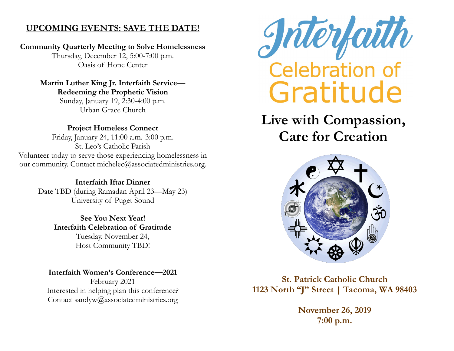# **UPCOMING EVENTS: SAVE THE DATE!**

# **Community Quarterly Meeting to Solve Homelessness**

Thursday, December 12, 5:00-7:00 p.m. Oasis of Hope Center

#### **Martin Luther King Jr. Interfaith Service— Redeeming the Prophetic Vision**

Sunday, January 19, 2:30-4:00 p.m. Urban Grace Church

# **Project Homeless Connect**

Friday, January 24, 11:00 a.m.-3:00 p.m. St. Leo's Catholic Parish Volunteer today to serve those experiencing homelessness in our community. Contact michelec@associatedministries.org.

> **Interfaith Iftar Dinner** Date TBD (during Ramadan April 23—May 23) University of Puget Sound

> > **See You Next Year! Interfaith Celebration of Gratitude** Tuesday, November 24, Host Community TBD!

**Interfaith Women's Conference—2021** February 2021 Interested in helping plan this conference? Contact sandyw@associatedministries.org



# **Live with Compassion, Care for Creation**



**St. Patrick Catholic Church 1123 North "J" Street | Tacoma, WA 98403**

> **November 26, 2019 7:00 p.m.**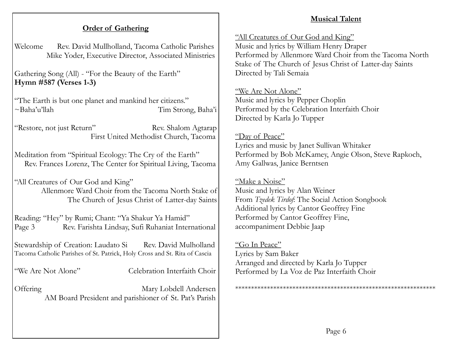#### **Musical Talent**

## **Order of Gathering**

Welcome Rev. David Mullholland, Tacoma Catholic Parishes Mike Yoder, Executive Director, Associated Ministries

Gathering Song (All) - "For the Beauty of the Earth" **Hymn #587 (Verses 1-3)**

"The Earth is but one planet and mankind her citizens." ~Baha'u'llah Tim Strong, Baha'i

"Restore, not just Return" Rev. Shalom Agtarap First United Methodist Church, Tacoma

Meditation from "Spiritual Ecology: The Cry of the Earth" Rev. Frances Lorenz, The Center for Spiritual Living, Tacoma

"All Creatures of Our God and King" Allenmore Ward Choir from the Tacoma North Stake of The Church of Jesus Christ of Latter-day Saints

Reading: "Hey" by Rumi; Chant: "Ya Shakur Ya Hamid" Page 3 Rev. Farishta Lindsay, Sufi Ruhaniat International

Stewardship of Creation: Laudato Si Rev. David Mulholland Tacoma Catholic Parishes of St. Patrick, Holy Cross and St. Rita of Cascia

"We Are Not Alone" Celebration Interfaith Choir

Offering Mary Lobdell Andersen AM Board President and parishioner of St. Pat's Parish "All Creatures of Our God and King" Music and lyrics by William Henry Draper Performed by Allenmore Ward Choir from the Tacoma North Stake of The Church of Jesus Christ of Latter-day Saints Directed by Tali Semaia

#### "We Are Not Alone"

Music and lyrics by Pepper Choplin Performed by the Celebration Interfaith Choir Directed by Karla Jo Tupper

## "Day of Peace"

Lyrics and music by Janet Sullivan Whitaker Performed by Bob McKamey, Angie Olson, Steve Rapkoch, Amy Gallwas, Janice Berntsen

## "Make a Noise"

Music and lyrics by Alan Weiner From *Tzedek Tirdof*: The Social Action Songbook Additional lyrics by Cantor Geoffrey Fine Performed by Cantor Geoffrey Fine, accompaniment Debbie Jaap

#### "Go In Peace" Lyrics by Sam Baker Arranged and directed by Karla Jo Tupper Performed by La Voz de Paz Interfaith Choir

\*\*\*\*\*\*\*\*\*\*\*\*\*\*\*\*\*\*\*\*\*\*\*\*\*\*\*\*\*\*\*\*\*\*\*\*\*\*\*\*\*\*\*\*\*\*\*\*\*\*\*\*\*\*\*\*\*\*\*\*\*\*\*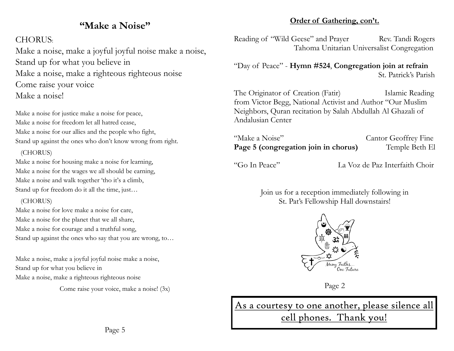# **"Make a Noise"**

## CHORUS:

Make a noise, make a joyful joyful noise make a noise, Stand up for what you believe in Make a noise, make a righteous righteous noise Come raise your voice Make a noise!

Make a noise for justice make a noise for peace, Make a noise for freedom let all hatred cease, Make a noise for our allies and the people who fight, Stand up against the ones who don't know wrong from right.

#### (CHORUS)

Make a noise for housing make a noise for learning, Make a noise for the wages we all should be earning, Make a noise and walk together 'tho it's a climb, Stand up for freedom do it all the time, just…

## (CHORUS)

Make a noise for love make a noise for care, Make a noise for the planet that we all share, Make a noise for courage and a truthful song, Stand up against the ones who say that you are wrong, to…

Make a noise, make a joyful joyful noise make a noise, Stand up for what you believe in Make a noise, make a righteous righteous noise

Come raise your voice, make a noise! (3x)

#### **Order of Gathering, con't.**

Reading of "Wild Geese" and Prayer Rev. Tandi Rogers Tahoma Unitarian Universalist Congregation

"Day of Peace" - **Hymn #524**, **Congregation join at refrain** St. Patrick's Parish

The Originator of Creation (Fatir) Islamic Reading from Victor Begg, National Activist and Author "Our Muslim Neighbors, Quran recitation by Salah Abdullah Al Ghazali of Andalusian Center

"Make a Noise" Cantor Geoffrey Fine **Page 5 (congregation join in chorus)** Temple Beth El

"Go In Peace" La Voz de Paz Interfaith Choir

Join us for a reception immediately following in St. Pat's Fellowship Hall downstairs!



Page 2

As a courtesy to one another, please silence all cell phones. Thank you!